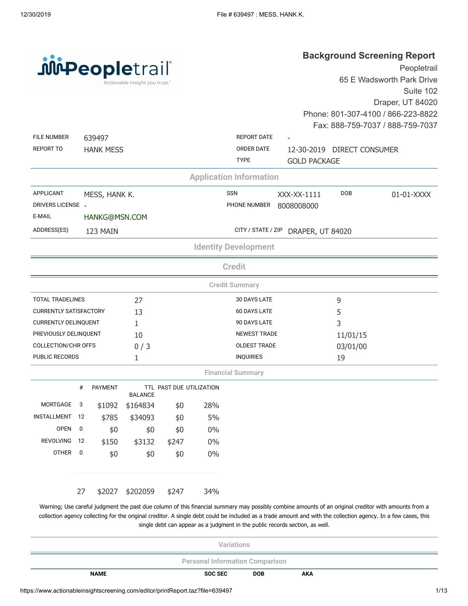| <b><i>jureopletrail</i></b>                |
|--------------------------------------------|
| Actionable insight you trust. <sup>®</sup> |

# **Background Screening Report**

Peopletrail 65 E Wadsworth Park Drive Suite 102 Draper, UT 84020 Phone: 801-307-4100 / 866-223-8822 Fax: 888-759-7037 / 888-759-7037

| MESS, HANK K.<br>HANKG@MSN.COM<br>27<br>13<br>1<br>10<br>0/3 |          |       | <b>REPORT DATE</b><br>ORDER DATE<br><b>TYPE</b><br><b>Application Information</b><br><b>SSN</b><br>PHONE NUMBER<br><b>Identity Development</b><br><b>Credit</b><br><b>Credit Summary</b><br><b>30 DAYS LATE</b><br>60 DAYS LATE<br>90 DAYS LATE | <b>GOLD PACKAGE</b><br>XXX-XX-1111<br>8008008000<br>CITY / STATE / ZIP DRAPER, UT 84020 | 12-30-2019 DIRECT CONSUMER<br><b>DOB</b><br>9<br>5 | 01-01-XXXX                                                                                                                                                                                                                                                                                                                                                                                             |  |
|--------------------------------------------------------------|----------|-------|-------------------------------------------------------------------------------------------------------------------------------------------------------------------------------------------------------------------------------------------------|-----------------------------------------------------------------------------------------|----------------------------------------------------|--------------------------------------------------------------------------------------------------------------------------------------------------------------------------------------------------------------------------------------------------------------------------------------------------------------------------------------------------------------------------------------------------------|--|
|                                                              |          |       |                                                                                                                                                                                                                                                 |                                                                                         |                                                    |                                                                                                                                                                                                                                                                                                                                                                                                        |  |
|                                                              |          |       |                                                                                                                                                                                                                                                 |                                                                                         |                                                    |                                                                                                                                                                                                                                                                                                                                                                                                        |  |
|                                                              |          |       |                                                                                                                                                                                                                                                 |                                                                                         |                                                    |                                                                                                                                                                                                                                                                                                                                                                                                        |  |
|                                                              |          |       |                                                                                                                                                                                                                                                 |                                                                                         |                                                    |                                                                                                                                                                                                                                                                                                                                                                                                        |  |
|                                                              |          |       |                                                                                                                                                                                                                                                 |                                                                                         |                                                    |                                                                                                                                                                                                                                                                                                                                                                                                        |  |
|                                                              |          |       |                                                                                                                                                                                                                                                 |                                                                                         |                                                    |                                                                                                                                                                                                                                                                                                                                                                                                        |  |
|                                                              |          |       |                                                                                                                                                                                                                                                 |                                                                                         |                                                    |                                                                                                                                                                                                                                                                                                                                                                                                        |  |
|                                                              |          |       |                                                                                                                                                                                                                                                 |                                                                                         |                                                    |                                                                                                                                                                                                                                                                                                                                                                                                        |  |
|                                                              |          |       |                                                                                                                                                                                                                                                 |                                                                                         |                                                    |                                                                                                                                                                                                                                                                                                                                                                                                        |  |
|                                                              |          |       |                                                                                                                                                                                                                                                 |                                                                                         |                                                    |                                                                                                                                                                                                                                                                                                                                                                                                        |  |
|                                                              |          |       |                                                                                                                                                                                                                                                 |                                                                                         |                                                    |                                                                                                                                                                                                                                                                                                                                                                                                        |  |
|                                                              |          |       |                                                                                                                                                                                                                                                 |                                                                                         |                                                    |                                                                                                                                                                                                                                                                                                                                                                                                        |  |
|                                                              |          |       |                                                                                                                                                                                                                                                 |                                                                                         |                                                    |                                                                                                                                                                                                                                                                                                                                                                                                        |  |
|                                                              |          |       |                                                                                                                                                                                                                                                 | 3                                                                                       |                                                    |                                                                                                                                                                                                                                                                                                                                                                                                        |  |
|                                                              |          |       | <b>NEWEST TRADE</b>                                                                                                                                                                                                                             |                                                                                         | 11/01/15                                           |                                                                                                                                                                                                                                                                                                                                                                                                        |  |
|                                                              |          |       | <b>OLDEST TRADE</b>                                                                                                                                                                                                                             |                                                                                         | 03/01/00                                           |                                                                                                                                                                                                                                                                                                                                                                                                        |  |
| 1                                                            |          |       | <b>INQUIRIES</b>                                                                                                                                                                                                                                |                                                                                         | 19                                                 |                                                                                                                                                                                                                                                                                                                                                                                                        |  |
|                                                              |          |       |                                                                                                                                                                                                                                                 |                                                                                         |                                                    |                                                                                                                                                                                                                                                                                                                                                                                                        |  |
| <b>BALANCE</b>                                               |          |       |                                                                                                                                                                                                                                                 |                                                                                         |                                                    |                                                                                                                                                                                                                                                                                                                                                                                                        |  |
| \$164834                                                     | \$0      | 28%   |                                                                                                                                                                                                                                                 |                                                                                         |                                                    |                                                                                                                                                                                                                                                                                                                                                                                                        |  |
| \$34093                                                      | \$0      | 5%    |                                                                                                                                                                                                                                                 |                                                                                         |                                                    |                                                                                                                                                                                                                                                                                                                                                                                                        |  |
| \$0                                                          | \$0      | 0%    |                                                                                                                                                                                                                                                 |                                                                                         |                                                    |                                                                                                                                                                                                                                                                                                                                                                                                        |  |
| \$3132                                                       | \$247    | 0%    |                                                                                                                                                                                                                                                 |                                                                                         |                                                    |                                                                                                                                                                                                                                                                                                                                                                                                        |  |
| \$0                                                          | \$0      | 0%    |                                                                                                                                                                                                                                                 |                                                                                         |                                                    |                                                                                                                                                                                                                                                                                                                                                                                                        |  |
|                                                              |          |       |                                                                                                                                                                                                                                                 |                                                                                         |                                                    |                                                                                                                                                                                                                                                                                                                                                                                                        |  |
|                                                              | \$202059 | \$247 | TTL PAST DUE UTILIZATION<br>34%                                                                                                                                                                                                                 | <b>Financial Summary</b>                                                                |                                                    | Warning; Use careful judgment the past due column of this financial summary may possibly combine amounts of an original creditor with amounts from a<br>collection agency collecting for the original creditor. A single debt could be included as a trade amount and with the collection agency. In a few cases, this<br>single debt can appear as a judgment in the public records section, as well. |  |

| <b>Variations</b>                      |         |            |            |  |  |  |
|----------------------------------------|---------|------------|------------|--|--|--|
| <b>Personal Information Comparison</b> |         |            |            |  |  |  |
| <b>NAME</b>                            | SOC SEC | <b>DOB</b> | <b>AKA</b> |  |  |  |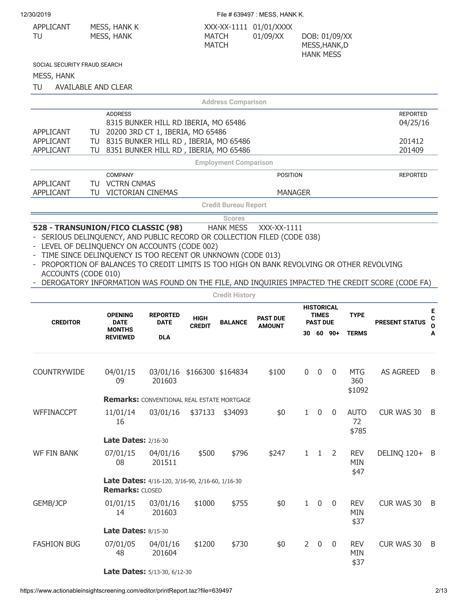| 12/30/2019 |  |
|------------|--|
|            |  |

File # 639497 : MESS, HANK K.

HANK MESS

| APPLICANT | MESS, HANK K | XXX-XX-1111 01/01/XXXX |          |               |
|-----------|--------------|------------------------|----------|---------------|
| TU        | MESS, HANK   | MATCH                  | 01/09/XX | DOB: 01/09/XX |
|           |              | <b>MATCH</b>           |          | MESS, HANK, D |

SOCIAL SECURITY FRAUD SEARCH

MESS, HANK

TU AVAILABLE AND CLEAR

| IU.                                                                                                           | AVAILABLE AND CLEAR              |                                                                                                                   |                              |                                   |                                  |                |                                 |                   |                                  |                                                                                                 |                        |
|---------------------------------------------------------------------------------------------------------------|----------------------------------|-------------------------------------------------------------------------------------------------------------------|------------------------------|-----------------------------------|----------------------------------|----------------|---------------------------------|-------------------|----------------------------------|-------------------------------------------------------------------------------------------------|------------------------|
|                                                                                                               |                                  |                                                                                                                   |                              | <b>Address Comparison</b>         |                                  |                |                                 |                   |                                  |                                                                                                 |                        |
| APPLICANT<br>APPLICANT                                                                                        | <b>ADDRESS</b><br>TU<br>TU       | 8315 BUNKER HILL RD IBERIA, MO 65486<br>20200 3RD CT 1, IBERIA, MO 65486<br>8315 BUNKER HILL RD, IBERIA, MO 65486 |                              |                                   |                                  |                |                                 |                   |                                  | <b>REPORTED</b><br>04/25/16<br>201412                                                           |                        |
| <b>APPLICANT</b>                                                                                              | TU                               | 8351 BUNKER HILL RD, IBERIA, MO 65486                                                                             |                              |                                   |                                  |                |                                 |                   |                                  | 201409                                                                                          |                        |
|                                                                                                               |                                  |                                                                                                                   |                              | <b>Employment Comparison</b>      |                                  |                |                                 |                   |                                  |                                                                                                 |                        |
|                                                                                                               | <b>COMPANY</b>                   |                                                                                                                   |                              |                                   | <b>POSITION</b>                  |                |                                 |                   |                                  | <b>REPORTED</b>                                                                                 |                        |
| APPLICANT                                                                                                     | <b>VCTRN CNMAS</b><br>TU         |                                                                                                                   |                              |                                   |                                  |                |                                 |                   |                                  |                                                                                                 |                        |
| <b>APPLICANT</b>                                                                                              | TU                               | <b>VICTORIAN CINEMAS</b>                                                                                          |                              |                                   |                                  | <b>MANAGER</b> |                                 |                   |                                  |                                                                                                 |                        |
|                                                                                                               |                                  |                                                                                                                   |                              | <b>Credit Bureau Report</b>       |                                  |                |                                 |                   |                                  |                                                                                                 |                        |
|                                                                                                               |                                  |                                                                                                                   |                              | <b>Scores</b><br><b>HANK MESS</b> | XXX-XX-1111                      |                |                                 |                   |                                  |                                                                                                 |                        |
| 528 - TRANSUNION/FICO CLASSIC (98)<br>- SERIOUS DELINQUENCY, AND PUBLIC RECORD OR COLLECTION FILED (CODE 038) |                                  |                                                                                                                   |                              |                                   |                                  |                |                                 |                   |                                  |                                                                                                 |                        |
| - LEVEL OF DELINQUENCY ON ACCOUNTS (CODE 002)                                                                 |                                  |                                                                                                                   |                              |                                   |                                  |                |                                 |                   |                                  |                                                                                                 |                        |
| - TIME SINCE DELINQUENCY IS TOO RECENT OR UNKNOWN (CODE 013)                                                  |                                  |                                                                                                                   |                              |                                   |                                  |                |                                 |                   |                                  |                                                                                                 |                        |
| PROPORTION OF BALANCES TO CREDIT LIMITS IS TOO HIGH ON BANK REVOLVING OR OTHER REVOLVING                      |                                  |                                                                                                                   |                              |                                   |                                  |                |                                 |                   |                                  |                                                                                                 |                        |
| ACCOUNTS (CODE 010)                                                                                           |                                  |                                                                                                                   |                              |                                   |                                  |                |                                 |                   |                                  | DEROGATORY INFORMATION WAS FOUND ON THE FILE, AND INQUIRIES IMPACTED THE CREDIT SCORE (CODE FA) |                        |
|                                                                                                               |                                  |                                                                                                                   |                              | <b>Credit History</b>             |                                  |                |                                 |                   |                                  |                                                                                                 |                        |
|                                                                                                               |                                  |                                                                                                                   |                              |                                   |                                  |                |                                 | <b>HISTORICAL</b> |                                  |                                                                                                 |                        |
| <b>CREDITOR</b>                                                                                               | <b>OPENING</b><br><b>DATE</b>    | <b>REPORTED</b><br><b>DATE</b>                                                                                    | <b>HIGH</b><br><b>CREDIT</b> | <b>BALANCE</b>                    | <b>PAST DUE</b><br><b>AMOUNT</b> |                | <b>TIMES</b><br><b>PAST DUE</b> |                   | <b>TYPE</b>                      | <b>PRESENT STATUS</b>                                                                           | Е<br>C<br>$\mathbf{o}$ |
|                                                                                                               | <b>MONTHS</b><br><b>REVIEWED</b> | <b>DLA</b>                                                                                                        |                              |                                   |                                  |                |                                 | $30, 60, 90+$     | <b>TERMS</b>                     |                                                                                                 | A                      |
| COUNTRYWIDE                                                                                                   | 04/01/15<br>09                   | 03/01/16<br>201603                                                                                                |                              | \$166300 \$164834                 | \$100                            | 0              | $\mathbf 0$                     | $\mathbf{0}$      | <b>MTG</b><br>360<br>\$1092      | <b>AS AGREED</b>                                                                                | B                      |
|                                                                                                               |                                  | <b>Remarks: CONVENTIONAL REAL ESTATE MORTGAGE</b>                                                                 |                              |                                   |                                  |                |                                 |                   |                                  |                                                                                                 |                        |
| WFFINACCPT                                                                                                    | 11/01/14<br>16                   | 03/01/16                                                                                                          | \$37133                      | \$34093                           | \$0                              | $\mathbf{1}$   | $\mathbf{0}$                    | 0                 | <b>AUTO</b><br>72<br>\$785       | <b>CUR WAS 30</b>                                                                               | B                      |
|                                                                                                               | <b>Late Dates: 2/16-30</b>       |                                                                                                                   |                              |                                   |                                  |                |                                 |                   |                                  |                                                                                                 |                        |
| WF FIN BANK                                                                                                   | 07/01/15<br>08                   | 04/01/16<br>201511                                                                                                | \$500                        | \$796                             | \$247                            |                | $1 \quad 1$                     | 2                 | <b>REV</b><br><b>MIN</b><br>\$47 | DELINQ 120+ B                                                                                   |                        |
|                                                                                                               | <b>Remarks: CLOSED</b>           | Late Dates: 4/16-120, 3/16-90, 2/16-60, 1/16-30                                                                   |                              |                                   |                                  |                |                                 |                   |                                  |                                                                                                 |                        |
| GEMB/JCP                                                                                                      | 01/01/15<br>14                   | 03/01/16<br>201603                                                                                                | \$1000                       | \$755                             | \$0                              | $\mathbf{1}$   | $\pmb{0}$                       | $\mathbf 0$       | <b>REV</b><br>MIN<br>\$37        | CUR WAS 30                                                                                      | B                      |
|                                                                                                               | <b>Late Dates: 8/15-30</b>       |                                                                                                                   |                              |                                   |                                  |                |                                 |                   |                                  |                                                                                                 |                        |
| <b>FASHION BUG</b>                                                                                            | 07/01/05<br>48                   | 04/01/16<br>201604                                                                                                | \$1200                       | \$730                             | \$0                              | $\overline{2}$ | $\pmb{0}$                       | $\mathbf 0$       | <b>REV</b><br><b>MIN</b>         | CUR WAS 30                                                                                      | B                      |

\$37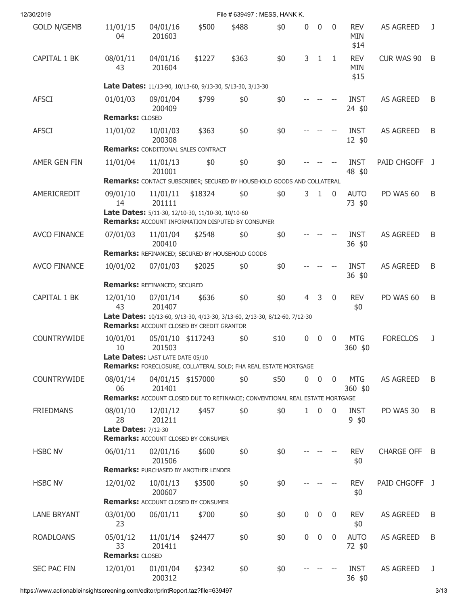| 12/30/2019          |                                    |                                                                                                                                |         | File # 639497 : MESS, HANK K. |      |              |                |                |                                  |                  |    |
|---------------------|------------------------------------|--------------------------------------------------------------------------------------------------------------------------------|---------|-------------------------------|------|--------------|----------------|----------------|----------------------------------|------------------|----|
| <b>GOLD N/GEMB</b>  | 11/01/15<br>04                     | 04/01/16<br>201603                                                                                                             | \$500   | \$488                         | \$0  | 0            | $\mathbf{0}$   | $\mathbf{0}$   | <b>REV</b><br><b>MIN</b><br>\$14 | <b>AS AGREED</b> | J. |
| <b>CAPITAL 1 BK</b> | 08/01/11<br>43                     | 04/01/16<br>201604                                                                                                             | \$1227  | \$363                         | \$0  | 3            | $\mathbf{1}$   | $\mathbf{1}$   | <b>REV</b><br><b>MIN</b><br>\$15 | CUR WAS 90 B     |    |
|                     |                                    | <b>Late Dates:</b> 11/13-90, 10/13-60, 9/13-30, 5/13-30, 3/13-30                                                               |         |                               |      |              |                |                |                                  |                  |    |
| <b>AFSCI</b>        | 01/01/03<br><b>Remarks: CLOSED</b> | 09/01/04<br>200409                                                                                                             | \$799   | \$0                           | \$0  |              |                |                | <b>INST</b><br>24 \$0            | <b>AS AGREED</b> | B  |
|                     |                                    |                                                                                                                                |         |                               |      |              |                |                |                                  |                  |    |
| <b>AFSCI</b>        | 11/01/02                           | 10/01/03<br>200308<br><b>Remarks: CONDITIONAL SALES CONTRACT</b>                                                               | \$363   | \$0                           | \$0  |              |                |                | <b>INST</b><br>12 \$0            | <b>AS AGREED</b> | B  |
|                     |                                    |                                                                                                                                |         |                               |      |              |                |                |                                  |                  |    |
| AMER GEN FIN        | 11/01/04                           | 11/01/13<br>201001<br>Remarks: CONTACT SUBSCRIBER; SECURED BY HOUSEHOLD GOODS AND COLLATERAL                                   | \$0     | \$0                           | \$0  |              |                |                | <b>INST</b><br>48 \$0            | PAID CHGOFF J    |    |
|                     |                                    |                                                                                                                                |         |                               |      |              |                |                |                                  |                  |    |
| AMERICREDIT         | 09/01/10<br>14                     | 11/01/11<br>201111                                                                                                             | \$18324 | \$0                           | \$0  | 3            | $\mathbf{1}$   | $\mathbf 0$    | <b>AUTO</b><br>73 \$0            | PD WAS 60        | B  |
|                     |                                    | Late Dates: 5/11-30, 12/10-30, 11/10-30, 10/10-60<br><b>Remarks: ACCOUNT INFORMATION DISPUTED BY CONSUMER</b>                  |         |                               |      |              |                |                |                                  |                  |    |
| <b>AVCO FINANCE</b> | 07/01/03                           | 11/01/04<br>200410                                                                                                             | \$2548  | \$0                           | \$0  |              |                |                | <b>INST</b><br>36 \$0            | <b>AS AGREED</b> | B  |
|                     |                                    | <b>Remarks: REFINANCED; SECURED BY HOUSEHOLD GOODS</b>                                                                         |         |                               |      |              |                |                |                                  |                  |    |
| <b>AVCO FINANCE</b> | 10/01/02                           | 07/01/03                                                                                                                       | \$2025  | \$0                           | \$0  |              |                |                | <b>INST</b><br>36 \$0            | <b>AS AGREED</b> | B  |
|                     |                                    | <b>Remarks: REFINANCED; SECURED</b>                                                                                            |         |                               |      |              |                |                |                                  |                  |    |
| CAPITAL 1 BK        | 12/01/10<br>43                     | 07/01/14<br>201407                                                                                                             | \$636   | \$0                           | \$0  | 4            | 3              | $\mathbf{0}$   | <b>REV</b><br>\$0                | PD WAS 60        | B  |
|                     |                                    | Late Dates: 10/13-60, 9/13-30, 4/13-30, 3/13-60, 2/13-30, 8/12-60, 7/12-30<br><b>Remarks: ACCOUNT CLOSED BY CREDIT GRANTOR</b> |         |                               |      |              |                |                |                                  |                  |    |
| COUNTRYWIDE         | 10/01/01<br>10                     | 05/01/10 \$117243<br>201503                                                                                                    |         | \$0                           | \$10 | $\mathbf{0}$ | $\mathbf{0}$   | $\overline{0}$ | <b>MTG</b><br>360 \$0            | <b>FORECLOS</b>  | J. |
|                     |                                    | Late Dates: LAST LATE DATE 05/10<br><b>Remarks: FORECLOSURE, COLLATERAL SOLD; FHA REAL ESTATE MORTGAGE</b>                     |         |                               |      |              |                |                |                                  |                  |    |
| COUNTRYWIDE         | 08/01/14<br>06                     | 04/01/15 \$157000<br>201401                                                                                                    |         | \$0                           | \$50 | $\mathbf 0$  | $\mathbf 0$    | $\mathbf{0}$   | <b>MTG</b><br>360 \$0            | AS AGREED        | B  |
|                     |                                    | <b>Remarks: ACCOUNT CLOSED DUE TO REFINANCE; CONVENTIONAL REAL ESTATE MORTGAGE</b>                                             |         |                               |      |              |                |                |                                  |                  |    |
| <b>FRIEDMANS</b>    | 08/01/10<br>28                     | 12/01/12<br>201211                                                                                                             | \$457   | \$0                           | \$0  | $\mathbf{1}$ | $\overline{0}$ | $\mathbf 0$    | <b>INST</b><br>$9$ \$0           | PD WAS 30        | B  |
|                     | <b>Late Dates: 7/12-30</b>         |                                                                                                                                |         |                               |      |              |                |                |                                  |                  |    |
| <b>HSBC NV</b>      | 06/01/11                           | <b>Remarks: ACCOUNT CLOSED BY CONSUMER</b><br>02/01/16                                                                         | \$600   | \$0                           | \$0  |              |                |                | <b>REV</b>                       | CHARGE OFF B     |    |
|                     |                                    | 201506                                                                                                                         |         |                               |      |              |                |                | \$0                              |                  |    |
|                     |                                    | <b>Remarks: PURCHASED BY ANOTHER LENDER</b>                                                                                    |         |                               |      |              |                |                |                                  |                  |    |
| <b>HSBC NV</b>      | 12/01/02                           | 10/01/13<br>200607                                                                                                             | \$3500  | \$0                           | \$0  |              |                |                | <b>REV</b><br>\$0                | PAID CHGOFF J    |    |
|                     |                                    | <b>Remarks: ACCOUNT CLOSED BY CONSUMER</b>                                                                                     |         |                               |      |              |                |                |                                  |                  |    |
| <b>LANE BRYANT</b>  | 03/01/00<br>23                     | 06/01/11                                                                                                                       | \$700   | \$0                           | \$0  | 0            | $\mathbf 0$    | $\mathbf 0$    | <b>REV</b><br>\$0                | <b>AS AGREED</b> | B  |
| <b>ROADLOANS</b>    | 05/01/12<br>33                     | 11/01/14<br>201411                                                                                                             | \$24477 | \$0                           | \$0  | 0            | $\mathbf 0$    | $\mathbf{0}$   | <b>AUTO</b><br>72 \$0            | <b>AS AGREED</b> | B  |
|                     | <b>Remarks: CLOSED</b>             |                                                                                                                                |         |                               |      |              |                |                |                                  |                  |    |
| <b>SEC PAC FIN</b>  | 12/01/01                           | 01/01/04<br>200312                                                                                                             | \$2342  | \$0                           | \$0  |              |                |                | <b>INST</b><br>36 \$0            | AS AGREED        | J. |

https://www.actionableinsightscreening.com/editor/printReport.taz?file=639497 3/13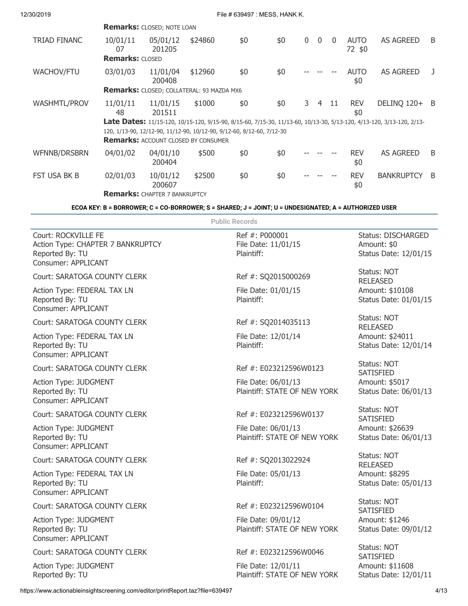| 12/30/2019                                                                                         |                                                                                                       |                                                                                                                     |                                                     | File # 639497 : MESS, HANK K.                       |                                                     |                |             |                                                       |                                          |                                                                                                                      |   |
|----------------------------------------------------------------------------------------------------|-------------------------------------------------------------------------------------------------------|---------------------------------------------------------------------------------------------------------------------|-----------------------------------------------------|-----------------------------------------------------|-----------------------------------------------------|----------------|-------------|-------------------------------------------------------|------------------------------------------|----------------------------------------------------------------------------------------------------------------------|---|
|                                                                                                    |                                                                                                       | <b>Remarks: CLOSED; NOTE LOAN</b>                                                                                   |                                                     |                                                     |                                                     |                |             |                                                       |                                          |                                                                                                                      |   |
| <b>TRIAD FINANC</b>                                                                                | 10/01/11<br>07<br><b>Remarks: CLOSED</b>                                                              | 05/01/12<br>201205                                                                                                  | \$24860                                             | \$0                                                 | \$0                                                 | $\mathbf 0$    | $\mathbf 0$ | $\overline{0}$                                        | <b>AUTO</b><br>72 \$0                    | <b>AS AGREED</b>                                                                                                     | B |
| <b>WACHOV/FTU</b>                                                                                  | 03/01/03                                                                                              | 11/01/04<br>200408                                                                                                  | \$12960                                             | \$0                                                 | \$0                                                 |                |             |                                                       | <b>AUTO</b><br>\$0                       | AS AGREED                                                                                                            | J |
|                                                                                                    |                                                                                                       | Remarks: CLOSED; COLLATERAL: 93 MAZDA MX6                                                                           |                                                     |                                                     |                                                     |                |             |                                                       |                                          |                                                                                                                      |   |
| <b>WASHMTL/PROV</b>                                                                                | 11/01/11<br>48                                                                                        | 11/01/15<br>201511                                                                                                  | \$1000                                              | \$0                                                 | \$0                                                 | 3 <sup>1</sup> | 4           | 11                                                    | <b>REV</b><br>\$0                        | DELINQ 120+ B                                                                                                        |   |
|                                                                                                    |                                                                                                       | 120, 1/13-90, 12/12-90, 11/12-90, 10/12-90, 9/12-60, 8/12-60, 7/12-30<br><b>Remarks: ACCOUNT CLOSED BY CONSUMER</b> |                                                     |                                                     |                                                     |                |             |                                                       |                                          | Late Dates: 11/15-120, 10/15-120, 9/15-90, 8/15-60, 7/15-30, 11/13-60, 10/13-30, 5/13-120, 4/13-120, 3/13-120, 2/13- |   |
| <b>WFNNB/DRSBRN</b>                                                                                | 04/01/02                                                                                              | 04/01/10<br>200404                                                                                                  | \$500                                               | \$0                                                 | \$0                                                 |                |             |                                                       | <b>REV</b><br>\$0                        | AS AGREED                                                                                                            | B |
| FST USA BK B                                                                                       | 02/01/03                                                                                              | 10/01/12<br>200607                                                                                                  | \$2500                                              | \$0                                                 | \$0                                                 |                |             |                                                       | <b>REV</b><br>\$0                        | BANKRUPTCY B                                                                                                         |   |
|                                                                                                    |                                                                                                       | <b>Remarks: CHAPTER 7 BANKRUPTCY</b>                                                                                |                                                     |                                                     |                                                     |                |             |                                                       |                                          |                                                                                                                      |   |
|                                                                                                    | ECOA KEY: B = BORROWER; C = CO-BORROWER; S = SHARED; J = JOINT; U = UNDESIGNATED; A = AUTHORIZED USER |                                                                                                                     |                                                     |                                                     |                                                     |                |             |                                                       |                                          |                                                                                                                      |   |
|                                                                                                    |                                                                                                       |                                                                                                                     |                                                     | <b>Public Records</b>                               |                                                     |                |             |                                                       |                                          |                                                                                                                      |   |
| Court: ROCKVILLE FE<br>Action Type: CHAPTER 7 BANKRUPTCY<br>Reported By: TU<br>Consumer: APPLICANT |                                                                                                       |                                                                                                                     |                                                     | Ref #: P000001<br>Plaintiff:                        | File Date: 11/01/15                                 |                |             |                                                       |                                          | <b>Status: DISCHARGED</b><br>Amount: \$0<br>Status Date: 12/01/15                                                    |   |
| Court: SARATOGA COUNTY CLERK                                                                       |                                                                                                       |                                                                                                                     |                                                     |                                                     | Ref #: SQ2015000269                                 |                |             |                                                       |                                          | Status: NOT<br><b>RELEASED</b>                                                                                       |   |
| Action Type: FEDERAL TAX LN<br>Reported By: TU<br>Consumer: APPLICANT                              |                                                                                                       |                                                                                                                     | Plaintiff:                                          | File Date: 01/01/15                                 |                                                     |                |             |                                                       | Amount: \$10108<br>Status Date: 01/01/15 |                                                                                                                      |   |
| Court: SARATOGA COUNTY CLERK                                                                       |                                                                                                       |                                                                                                                     |                                                     |                                                     | Ref #: SQ2014035113                                 |                |             |                                                       |                                          | Status: NOT<br><b>RELEASED</b>                                                                                       |   |
| Action Type: FEDERAL TAX LN<br>Reported By: TU<br>Consumer: APPLICANT                              |                                                                                                       |                                                                                                                     |                                                     | Plaintiff:                                          | File Date: 12/01/14                                 |                |             |                                                       |                                          | Amount: \$24011<br>Status Date: 12/01/14                                                                             |   |
| Court: SARATOGA COUNTY CLERK                                                                       |                                                                                                       |                                                                                                                     |                                                     |                                                     | Ref #: E023212596W0123                              |                |             |                                                       |                                          | Status: NOT<br>SATISFIED                                                                                             |   |
| Action Type: JUDGMENT<br>Reported By: TU<br>Consumer: APPLICANT                                    |                                                                                                       |                                                                                                                     |                                                     | File Date: 06/01/13<br>Plaintiff: STATE OF NEW YORK |                                                     |                |             |                                                       | Amount: \$5017<br>Status Date: 06/01/13  |                                                                                                                      |   |
| Court: SARATOGA COUNTY CLERK                                                                       |                                                                                                       |                                                                                                                     |                                                     |                                                     | Ref #: E023212596W0137                              |                |             |                                                       |                                          | Status: NOT                                                                                                          |   |
| Action Type: JUDGMENT<br>Reported By: TU<br>Consumer: APPLICANT                                    |                                                                                                       |                                                                                                                     | File Date: 06/01/13<br>Plaintiff: STATE OF NEW YORK |                                                     |                                                     |                |             | SATISFIED<br>Amount: \$26639<br>Status Date: 06/01/13 |                                          |                                                                                                                      |   |
| Court: SARATOGA COUNTY CLERK                                                                       |                                                                                                       |                                                                                                                     |                                                     |                                                     | Ref #: SQ2013022924                                 |                |             |                                                       |                                          | Status: NOT<br><b>RELEASED</b>                                                                                       |   |
| Action Type: FEDERAL TAX LN<br>Reported By: TU<br>Consumer: APPLICANT                              |                                                                                                       |                                                                                                                     |                                                     | Plaintiff:                                          | File Date: 05/01/13                                 |                |             |                                                       |                                          | Amount: \$8295<br>Status Date: 05/01/13                                                                              |   |
| Court: SARATOGA COUNTY CLERK                                                                       |                                                                                                       |                                                                                                                     |                                                     |                                                     | Ref #: E023212596W0104                              |                |             |                                                       |                                          | Status: NOT<br>SATISFIED                                                                                             |   |
| Action Type: JUDGMENT<br>Reported By: TU<br>Consumer: APPLICANT                                    |                                                                                                       |                                                                                                                     |                                                     |                                                     | File Date: 09/01/12<br>Plaintiff: STATE OF NEW YORK |                |             |                                                       |                                          | Amount: \$1246<br>Status Date: 09/01/12                                                                              |   |
| Court: SARATOGA COUNTY CLERK                                                                       |                                                                                                       |                                                                                                                     |                                                     |                                                     | Ref #: E023212596W0046                              |                |             |                                                       |                                          | Status: NOT<br>SATISFIED                                                                                             |   |
| Action Type: JUDGMENT<br>Reported By: TU                                                           |                                                                                                       |                                                                                                                     |                                                     |                                                     | File Date: 12/01/11<br>Plaintiff: STATE OF NEW YORK |                |             |                                                       |                                          | Amount: \$11608<br>Status Date: 12/01/11                                                                             |   |

https://www.actionableinsightscreening.com/editor/printReport.taz?file=639497 4/13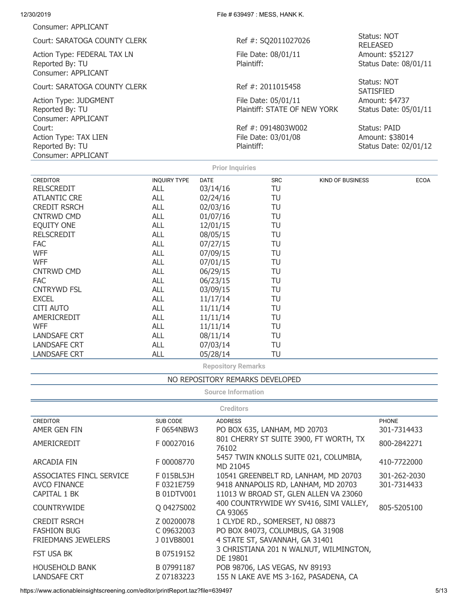Consumer: APPLICANT

Action Type: JUDGMENT Reported By: TU Consumer: APPLICANT Reported By: TU and TV Reported By: TU and TV Reported By: TU and TV Reported By: TU Consumer: APPLICANT

| Court: SARATOGA COUNTY CLERK                                          | Ref #: SQ2011027026                                 | Status: NOT<br><b>RELEASED</b>           |
|-----------------------------------------------------------------------|-----------------------------------------------------|------------------------------------------|
| Action Type: FEDERAL TAX LN<br>Reported By: TU<br>Consumer: APPLICANT | File Date: 08/01/11<br>Plaintiff:                   | Amount: \$52127<br>Status Date: 08/01/11 |
| Court: SARATOGA COUNTY CLERK                                          | Ref #: 2011015458                                   | Status: NOT<br><b>SATISFIED</b>          |
| Action Type: JUDGMENT<br>Reported By: TU<br>Consumer: APPLICANT       | File Date: 05/01/11<br>Plaintiff: STATE OF NEW YORK | Amount: \$4737<br>Status Date: 05/01/11  |
| Court:<br>Action Type: TAX LIEN                                       | Ref #: 0914803W002<br>File Date: 03/01/08           | Status: PAID<br>Amount: \$38014          |

| <b>SRC</b><br><b>CREDITOR</b><br><b>INQUIRY TYPE</b><br><b>DATE</b><br><b>KIND OF BUSINESS</b><br><b>RELSCREDIT</b><br><b>ALL</b><br>03/14/16<br>TU | <b>ECOA</b> |
|-----------------------------------------------------------------------------------------------------------------------------------------------------|-------------|
|                                                                                                                                                     |             |
|                                                                                                                                                     |             |
| <b>ATLANTIC CRE</b><br><b>ALL</b><br>TU<br>02/24/16                                                                                                 |             |
| <b>CREDIT RSRCH</b><br><b>ALL</b><br>02/03/16<br>TU                                                                                                 |             |
| <b>ALL</b><br><b>CNTRWD CMD</b><br>01/07/16<br>TU                                                                                                   |             |
| EQUITY ONE<br><b>ALL</b><br>TU<br>12/01/15                                                                                                          |             |
| <b>RELSCREDIT</b><br><b>ALL</b><br>TU<br>08/05/15                                                                                                   |             |
| <b>FAC</b><br><b>ALL</b><br>07/27/15<br>TU                                                                                                          |             |
| <b>WFF</b><br><b>ALL</b><br>07/09/15<br>TU                                                                                                          |             |
| <b>WFF</b><br><b>ALL</b><br>07/01/15<br>TU                                                                                                          |             |
| <b>CNTRWD CMD</b><br><b>ALL</b><br>06/29/15<br>TU                                                                                                   |             |
| <b>FAC</b><br>ALL<br>06/23/15<br>TU                                                                                                                 |             |
| <b>CNTRYWD FSL</b><br><b>ALL</b><br>03/09/15<br>TU                                                                                                  |             |
| <b>EXCEL</b><br><b>ALL</b><br>11/17/14<br>TU                                                                                                        |             |
| CITI AUTO<br><b>ALL</b><br>11/11/14<br>TU                                                                                                           |             |
| AMERICREDIT<br><b>ALL</b><br>11/11/14<br>TU                                                                                                         |             |
| <b>WFF</b><br><b>ALL</b><br>TU<br>11/11/14                                                                                                          |             |
| <b>LANDSAFE CRT</b><br><b>ALL</b><br>08/11/14<br>TU                                                                                                 |             |
| <b>LANDSAFE CRT</b><br>ALL<br>07/03/14<br>TU                                                                                                        |             |
| <b>LANDSAFE CRT</b><br><b>ALL</b><br>05/28/14<br>TU                                                                                                 |             |

**Repository Remarks**

#### NO REPOSITORY REMARKS DEVELOPED

**Source Information**

### **Creditors**

| <b>CREDITOR</b>           | SUB CODE   | <b>ADDRESS</b>                                     | <b>PHONE</b> |
|---------------------------|------------|----------------------------------------------------|--------------|
| AMER GEN FIN              | F0654NBW3  | PO BOX 635, LANHAM, MD 20703                       | 301-7314433  |
| AMERICREDIT               | F00027016  | 801 CHERRY ST SUITE 3900, FT WORTH, TX<br>76102    | 800-2842271  |
| ARCADIA FIN               | F00008770  | 5457 TWIN KNOLLS SUITE 021, COLUMBIA,<br>MD 21045  | 410-7722000  |
| ASSOCIATES FINCL SERVICE  | F 015BL5JH | 10541 GREENBELT RD, LANHAM, MD 20703               | 301-262-2030 |
| <b>AVCO FINANCE</b>       | F0321E759  | 9418 ANNAPOLIS RD, LANHAM, MD 20703                | 301-7314433  |
| CAPITAL 1 BK              | B 01DTV001 | 11013 W BROAD ST, GLEN ALLEN VA 23060              |              |
| <b>COUNTRYWIDE</b>        | Q 0427S002 | 400 COUNTRYWIDE WY SV416, SIMI VALLEY,<br>CA 93065 | 805-5205100  |
| <b>CREDIT RSRCH</b>       | Z00200078  | 1 CLYDE RD., SOMERSET, NJ 08873                    |              |
| <b>FASHION BUG</b>        | C09632003  | PO BOX 84073, COLUMBUS, GA 31908                   |              |
| <b>FRIEDMANS JEWELERS</b> | J01VB8001  | 4 STATE ST, SAVANNAH, GA 31401                     |              |
| <b>FST USA BK</b>         | B 07519152 | 3 CHRISTIANA 201 N WALNUT, WILMINGTON,<br>DE 19801 |              |
| <b>HOUSEHOLD BANK</b>     | B07991187  | POB 98706, LAS VEGAS, NV 89193                     |              |
| <b>LANDSAFE CRT</b>       | Z 07183223 | 155 N LAKE AVE MS 3-162, PASADENA, CA              |              |

https://www.actionableinsightscreening.com/editor/printReport.taz?file=639497 5/13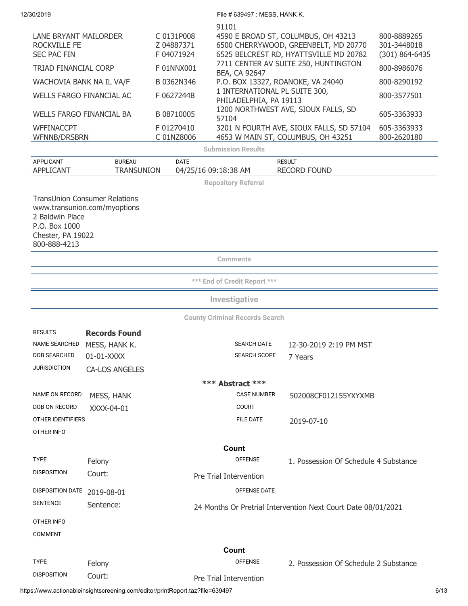File # 639497 : MESS, HANK K.

|                          |            | 91101                                    |                |
|--------------------------|------------|------------------------------------------|----------------|
| LANE BRYANT MAILORDER    | C 0131P008 | 4590 E BROAD ST, COLUMBUS, OH 43213      | 800-8889265    |
| ROCKVILLE FE             | Z 04887371 | 6500 CHERRYWOOD, GREENBELT, MD 20770     | 301-3448018    |
| <b>SEC PAC FIN</b>       | F04071924  | 6525 BELCREST RD, HYATTSVILLE MD 20782   | (301) 864-6435 |
| TRIAD FINANCIAL CORP     | F01NNX001  | 7711 CENTER AV SUITE 250, HUNTINGTON     | 800-8986076    |
|                          |            | BEA, CA 92647                            |                |
| WACHOVIA BANK NA IL VA/F | B 0362N346 | P.O. BOX 13327, ROANOKE, VA 24040        | 800-8290192    |
| WELLS FARGO FINANCIAL AC | F0627244B  | 1 INTERNATIONAL PL SUITE 300,            | 800-3577501    |
|                          |            | PHILADELPHIA, PA 19113                   |                |
| WELLS FARGO FINANCIAL BA | B 08710005 | 1200 NORTHWEST AVE, SIOUX FALLS, SD      | 605-3363933    |
|                          |            | 57104                                    |                |
| <b>WFFINACCPT</b>        | F01270410  | 3201 N FOURTH AVE, SIOUX FALLS, SD 57104 | 605-3363933    |
| WFNNB/DRSBRN             | C 01NZ8006 | 4653 W MAIN ST, COLUMBUS, OH 43251       | 800-2620180    |

**Submission Results**

| <b>APPLICANT</b>                                                      | <b>BUREAU</b>                                                        | <b>DATE</b>                           | <b>RESULT</b>                                                 |
|-----------------------------------------------------------------------|----------------------------------------------------------------------|---------------------------------------|---------------------------------------------------------------|
| <b>APPLICANT</b>                                                      | <b>TRANSUNION</b>                                                    | 04/25/16 09:18:38 AM                  | <b>RECORD FOUND</b>                                           |
|                                                                       |                                                                      | <b>Repository Referral</b>            |                                                               |
| 2 Baldwin Place<br>P.O. Box 1000<br>Chester, PA 19022<br>800-888-4213 | <b>TransUnion Consumer Relations</b><br>www.transunion.com/myoptions |                                       |                                                               |
|                                                                       |                                                                      | <b>Comments</b>                       |                                                               |
|                                                                       |                                                                      | *** End of Credit Report ***          |                                                               |
|                                                                       |                                                                      | Investigative                         |                                                               |
|                                                                       |                                                                      | <b>County Criminal Records Search</b> |                                                               |
| <b>RESULTS</b>                                                        | <b>Records Found</b>                                                 |                                       |                                                               |
| <b>NAME SEARCHED</b>                                                  | MESS, HANK K.                                                        | <b>SEARCH DATE</b>                    | 12-30-2019 2:19 PM MST                                        |
| <b>DOB SEARCHED</b>                                                   | 01-01-XXXX                                                           | <b>SEARCH SCOPE</b>                   | 7 Years                                                       |
| <b>JURISDICTION</b>                                                   | <b>CA-LOS ANGELES</b>                                                |                                       |                                                               |
|                                                                       |                                                                      | *** Abstract ***                      |                                                               |
| NAME ON RECORD                                                        | MESS, HANK                                                           | <b>CASE NUMBER</b>                    | 502008CF012155YXYXMB                                          |
| DOB ON RECORD                                                         | XXXX-04-01                                                           | <b>COURT</b>                          |                                                               |
| OTHER IDENTIFIERS                                                     |                                                                      | <b>FILE DATE</b>                      | 2019-07-10                                                    |
| OTHER INFO                                                            |                                                                      |                                       |                                                               |
|                                                                       |                                                                      | Count                                 |                                                               |
| <b>TYPE</b>                                                           | Felony                                                               | <b>OFFENSE</b>                        | 1. Possession Of Schedule 4 Substance                         |
| <b>DISPOSITION</b>                                                    | Court:                                                               | Pre Trial Intervention                |                                                               |
| DISPOSITION DATE 2019-08-01                                           |                                                                      | <b>OFFENSE DATE</b>                   |                                                               |
| <b>SENTENCE</b>                                                       | Sentence:                                                            |                                       | 24 Months Or Pretrial Intervention Next Court Date 08/01/2021 |
| OTHER INFO                                                            |                                                                      |                                       |                                                               |
| COMMENT                                                               |                                                                      |                                       |                                                               |
|                                                                       |                                                                      | Count                                 |                                                               |
| <b>TYPE</b>                                                           | Felony                                                               | <b>OFFENSE</b>                        | 2. Possession Of Schedule 2 Substance                         |
| <b>DISPOSITION</b>                                                    | Court:                                                               | Pre Trial Intervention                |                                                               |

https://www.actionableinsightscreening.com/editor/printReport.taz?file=639497 6/13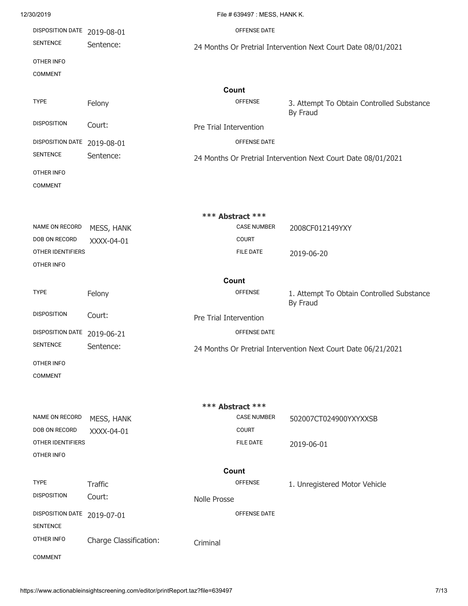| 12/30/2019                  |                               |                        | File # 639497 : MESS, HANK K. |                                                               |
|-----------------------------|-------------------------------|------------------------|-------------------------------|---------------------------------------------------------------|
| DISPOSITION DATE 2019-08-01 |                               |                        | OFFENSE DATE                  |                                                               |
| <b>SENTENCE</b>             | Sentence:                     |                        |                               | 24 Months Or Pretrial Intervention Next Court Date 08/01/2021 |
| OTHER INFO                  |                               |                        |                               |                                                               |
| <b>COMMENT</b>              |                               |                        |                               |                                                               |
|                             |                               | Count                  |                               |                                                               |
| <b>TYPE</b>                 | Felony                        |                        | <b>OFFENSE</b>                | 3. Attempt To Obtain Controlled Substance<br>By Fraud         |
| <b>DISPOSITION</b>          | Court:                        | Pre Trial Intervention |                               |                                                               |
| <b>DISPOSITION DATE</b>     | 2019-08-01                    |                        | <b>OFFENSE DATE</b>           |                                                               |
| <b>SENTENCE</b>             | Sentence:                     |                        |                               | 24 Months Or Pretrial Intervention Next Court Date 08/01/2021 |
| OTHER INFO                  |                               |                        |                               |                                                               |
| <b>COMMENT</b>              |                               |                        |                               |                                                               |
|                             |                               |                        |                               |                                                               |
| NAME ON RECORD              |                               | *** Abstract ***       | <b>CASE NUMBER</b>            |                                                               |
| DOB ON RECORD               | MESS, HANK<br>XXXX-04-01      |                        | <b>COURT</b>                  | 2008CF012149YXY                                               |
| OTHER IDENTIFIERS           |                               |                        | FILE DATE                     | 2019-06-20                                                    |
| OTHER INFO                  |                               |                        |                               |                                                               |
|                             |                               | Count                  |                               |                                                               |
| <b>TYPE</b>                 | Felony                        |                        | <b>OFFENSE</b>                | 1. Attempt To Obtain Controlled Substance<br>By Fraud         |
| <b>DISPOSITION</b>          | Court:                        | Pre Trial Intervention |                               |                                                               |
| <b>DISPOSITION DATE</b>     | 2019-06-21                    |                        | OFFENSE DATE                  |                                                               |
| <b>SENTENCE</b>             | Sentence:                     |                        |                               | 24 Months Or Pretrial Intervention Next Court Date 06/21/2021 |
| OTHER INFO                  |                               |                        |                               |                                                               |
| <b>COMMENT</b>              |                               |                        |                               |                                                               |
|                             |                               | *** Abstract ***       |                               |                                                               |
| NAME ON RECORD              | MESS, HANK                    |                        | <b>CASE NUMBER</b>            | 502007CT024900YXYXXSB                                         |
| DOB ON RECORD               | XXXX-04-01                    |                        | <b>COURT</b>                  |                                                               |
| OTHER IDENTIFIERS           |                               |                        | <b>FILE DATE</b>              | 2019-06-01                                                    |
| OTHER INFO                  |                               |                        |                               |                                                               |
|                             |                               | Count                  |                               |                                                               |
| <b>TYPE</b>                 | <b>Traffic</b>                |                        | <b>OFFENSE</b>                | 1. Unregistered Motor Vehicle                                 |
| <b>DISPOSITION</b>          | Court:                        | Nolle Prosse           |                               |                                                               |
| <b>DISPOSITION DATE</b>     | 2019-07-01                    |                        | <b>OFFENSE DATE</b>           |                                                               |
| <b>SENTENCE</b>             |                               |                        |                               |                                                               |
| OTHER INFO                  | <b>Charge Classification:</b> | Criminal               |                               |                                                               |
| <b>COMMENT</b>              |                               |                        |                               |                                                               |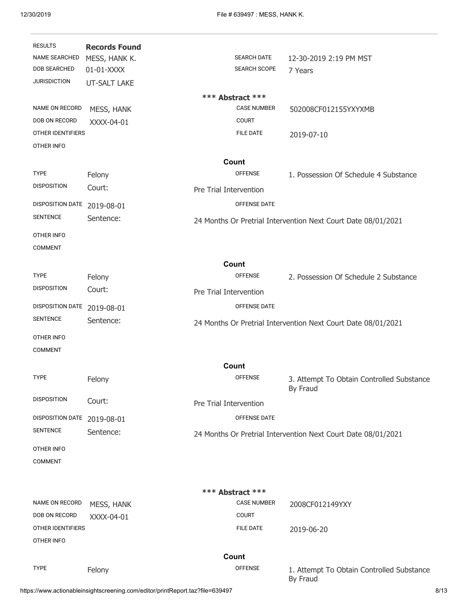| <b>RESULTS</b>                  | <b>Records Found</b> |                        |                                                               |
|---------------------------------|----------------------|------------------------|---------------------------------------------------------------|
| <b>NAME SEARCHED</b>            | MESS, HANK K.        | <b>SEARCH DATE</b>     | 12-30-2019 2:19 PM MST                                        |
| <b>DOB SEARCHED</b>             | 01-01-XXXX           | <b>SEARCH SCOPE</b>    | 7 Years                                                       |
| <b>JURISDICTION</b>             | UT-SALT LAKE         |                        |                                                               |
|                                 |                      | *** Abstract ***       |                                                               |
| NAME ON RECORD                  | MESS, HANK           | <b>CASE NUMBER</b>     | 502008CF012155YXYXMB                                          |
| DOB ON RECORD                   | XXXX-04-01           | <b>COURT</b>           |                                                               |
| OTHER IDENTIFIERS<br>OTHER INFO |                      | <b>FILE DATE</b>       | 2019-07-10                                                    |
|                                 |                      |                        |                                                               |
|                                 |                      | Count                  |                                                               |
| <b>TYPE</b>                     | Felony               | <b>OFFENSE</b>         | 1. Possession Of Schedule 4 Substance                         |
| <b>DISPOSITION</b>              | Court:               | Pre Trial Intervention |                                                               |
| DISPOSITION DATE                | 2019-08-01           | OFFENSE DATE           |                                                               |
| <b>SENTENCE</b>                 | Sentence:            |                        | 24 Months Or Pretrial Intervention Next Court Date 08/01/2021 |
| OTHER INFO                      |                      |                        |                                                               |
| <b>COMMENT</b>                  |                      |                        |                                                               |
|                                 |                      | Count                  |                                                               |
| <b>TYPE</b>                     | Felony               | <b>OFFENSE</b>         | 2. Possession Of Schedule 2 Substance                         |
| <b>DISPOSITION</b>              | Court:               | Pre Trial Intervention |                                                               |
|                                 |                      |                        |                                                               |
| DISPOSITION DATE                | 2019-08-01           | OFFENSE DATE           |                                                               |
| <b>SENTENCE</b>                 | Sentence:            |                        | 24 Months Or Pretrial Intervention Next Court Date 08/01/2021 |
| OTHER INFO                      |                      |                        |                                                               |
| <b>COMMENT</b>                  |                      |                        |                                                               |
|                                 |                      | Count                  |                                                               |
| <b>TYPE</b>                     | Felony               | <b>OFFENSE</b>         | 3. Attempt To Obtain Controlled Substance<br>By Fraud         |
| <b>DISPOSITION</b>              | Court:               | Pre Trial Intervention |                                                               |
|                                 |                      |                        |                                                               |
| DISPOSITION DATE                | 2019-08-01           | OFFENSE DATE           |                                                               |
| <b>SENTENCE</b>                 | Sentence:            |                        | 24 Months Or Pretrial Intervention Next Court Date 08/01/2021 |
| OTHER INFO                      |                      |                        |                                                               |
| COMMENT                         |                      |                        |                                                               |
|                                 |                      |                        |                                                               |
|                                 |                      | *** Abstract ***       |                                                               |
| NAME ON RECORD                  | MESS, HANK           | <b>CASE NUMBER</b>     | 2008CF012149YXY                                               |
| DOB ON RECORD                   | XXXX-04-01           | <b>COURT</b>           |                                                               |
| OTHER IDENTIFIERS               |                      | FILE DATE              | 2019-06-20                                                    |
| OTHER INFO                      |                      |                        |                                                               |
|                                 |                      | Count                  |                                                               |
| <b>TYPE</b>                     | Felony               | <b>OFFENSE</b>         | 1. Attempt To Obtain Controlled Substance<br>By Fraud         |

https://www.actionableinsightscreening.com/editor/printReport.taz?file=639497 8/13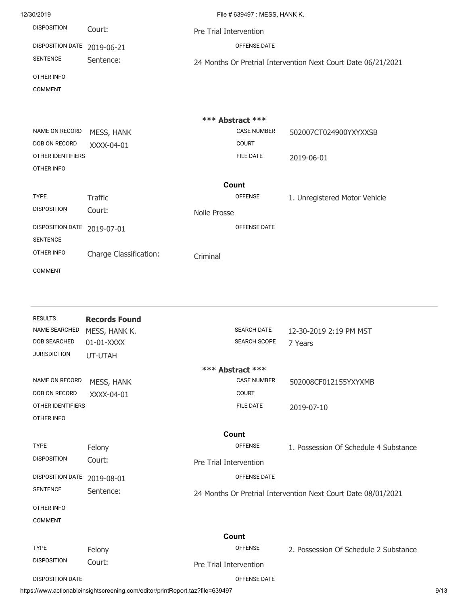| 12/30/2019              |                               |                        | File # 639497 : MESS, HANK K. |                                                               |
|-------------------------|-------------------------------|------------------------|-------------------------------|---------------------------------------------------------------|
| <b>DISPOSITION</b>      | Court:                        | Pre Trial Intervention |                               |                                                               |
| <b>DISPOSITION DATE</b> | 2019-06-21                    |                        | OFFENSE DATE                  |                                                               |
| <b>SENTENCE</b>         | Sentence:                     |                        |                               | 24 Months Or Pretrial Intervention Next Court Date 06/21/2021 |
| OTHER INFO              |                               |                        |                               |                                                               |
| <b>COMMENT</b>          |                               |                        |                               |                                                               |
|                         |                               |                        |                               |                                                               |
|                         |                               |                        | *** Abstract ***              |                                                               |
| NAME ON RECORD          | MESS, HANK                    |                        | <b>CASE NUMBER</b>            | 502007CT024900YXYXXSB                                         |
| DOB ON RECORD           | XXXX-04-01                    |                        | <b>COURT</b>                  |                                                               |
| OTHER IDENTIFIERS       |                               |                        | <b>FILE DATE</b>              | 2019-06-01                                                    |
| OTHER INFO              |                               |                        |                               |                                                               |
|                         |                               |                        | Count                         |                                                               |
| <b>TYPE</b>             | <b>Traffic</b>                |                        | <b>OFFENSE</b>                | 1. Unregistered Motor Vehicle                                 |
| <b>DISPOSITION</b>      | Court:                        | Nolle Prosse           |                               |                                                               |
| <b>DISPOSITION DATE</b> | 2019-07-01                    |                        | <b>OFFENSE DATE</b>           |                                                               |
| <b>SENTENCE</b>         |                               |                        |                               |                                                               |
| OTHER INFO              | <b>Charge Classification:</b> | Criminal               |                               |                                                               |
| <b>COMMENT</b>          |                               |                        |                               |                                                               |

| <b>RESULTS</b><br><b>NAME SEARCHED</b><br><b>DOB SEARCHED</b><br><b>JURISDICTION</b> | <b>Records Found</b><br>MESS, HANK K.<br>01-01-XXXX<br>UT-UTAH | <b>SEARCH DATE</b><br><b>SEARCH SCOPE</b> | 12-30-2019 2:19 PM MST<br>7 Years                             |
|--------------------------------------------------------------------------------------|----------------------------------------------------------------|-------------------------------------------|---------------------------------------------------------------|
|                                                                                      |                                                                | *** Abstract ***                          |                                                               |
| <b>NAME ON RECORD</b>                                                                | MESS, HANK                                                     | <b>CASE NUMBER</b>                        | 502008CF012155YXYXMB                                          |
| <b>DOB ON RECORD</b>                                                                 | XXXX-04-01                                                     | <b>COURT</b>                              |                                                               |
| OTHER IDENTIFIERS                                                                    |                                                                | <b>FILE DATE</b>                          | 2019-07-10                                                    |
| OTHER INFO                                                                           |                                                                |                                           |                                                               |
|                                                                                      |                                                                | Count                                     |                                                               |
| <b>TYPE</b>                                                                          | Felony                                                         | <b>OFFENSE</b>                            | 1. Possession Of Schedule 4 Substance                         |
| <b>DISPOSITION</b>                                                                   | Court:                                                         | Pre Trial Intervention                    |                                                               |
| <b>DISPOSITION DATE</b>                                                              | 2019-08-01                                                     | OFFENSE DATE                              |                                                               |
| <b>SENTENCE</b>                                                                      | Sentence:                                                      |                                           | 24 Months Or Pretrial Intervention Next Court Date 08/01/2021 |
| OTHER INFO                                                                           |                                                                |                                           |                                                               |
| <b>COMMENT</b>                                                                       |                                                                |                                           |                                                               |
|                                                                                      |                                                                | Count                                     |                                                               |
| <b>TYPE</b>                                                                          | Felony                                                         | <b>OFFENSE</b>                            | 2. Possession Of Schedule 2 Substance                         |
| <b>DISPOSITION</b>                                                                   | Court:                                                         | Pre Trial Intervention                    |                                                               |
| <b>DISPOSITION DATE</b>                                                              |                                                                | <b>OFFENSE DATE</b>                       |                                                               |

https://www.actionableinsightscreening.com/editor/printReport.taz?file=639497 9/13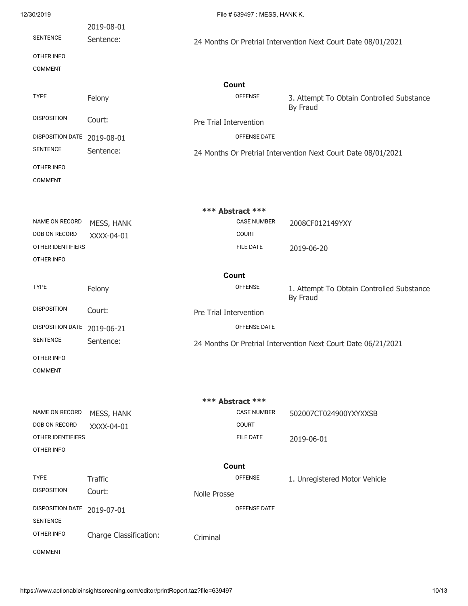| 12/30/2019              |                        |                        | File # 639497 : MESS, HANK K. |                                                               |
|-------------------------|------------------------|------------------------|-------------------------------|---------------------------------------------------------------|
|                         | 2019-08-01             |                        |                               |                                                               |
| <b>SENTENCE</b>         | Sentence:              |                        |                               | 24 Months Or Pretrial Intervention Next Court Date 08/01/2021 |
| OTHER INFO              |                        |                        |                               |                                                               |
| <b>COMMENT</b>          |                        |                        |                               |                                                               |
|                         |                        |                        | Count                         |                                                               |
| <b>TYPE</b>             | Felony                 |                        | <b>OFFENSE</b>                | 3. Attempt To Obtain Controlled Substance<br>By Fraud         |
| <b>DISPOSITION</b>      | Court:                 | Pre Trial Intervention |                               |                                                               |
| <b>DISPOSITION DATE</b> | 2019-08-01             |                        | OFFENSE DATE                  |                                                               |
| <b>SENTENCE</b>         | Sentence:              |                        |                               | 24 Months Or Pretrial Intervention Next Court Date 08/01/2021 |
| OTHER INFO              |                        |                        |                               |                                                               |
| <b>COMMENT</b>          |                        |                        |                               |                                                               |
|                         |                        |                        |                               |                                                               |
|                         |                        |                        | *** Abstract ***              |                                                               |
| <b>NAME ON RECORD</b>   |                        |                        | <b>CASE NUMBER</b>            | 2008CF012149YXY                                               |
| DOB ON RECORD           | MESS, HANK             |                        | <b>COURT</b>                  |                                                               |
|                         | XXXX-04-01             |                        |                               |                                                               |
| OTHER IDENTIFIERS       |                        |                        | <b>FILE DATE</b>              | 2019-06-20                                                    |
| OTHER INFO              |                        |                        |                               |                                                               |
|                         |                        |                        | Count                         |                                                               |
| <b>TYPE</b>             | Felony                 |                        | <b>OFFENSE</b>                | 1. Attempt To Obtain Controlled Substance<br>By Fraud         |
| <b>DISPOSITION</b>      | Court:                 | Pre Trial Intervention |                               |                                                               |
| <b>DISPOSITION DATE</b> | 2019-06-21             |                        | OFFENSE DATE                  |                                                               |
| <b>SENTENCE</b>         | Sentence:              |                        |                               | 24 Months Or Pretrial Intervention Next Court Date 06/21/2021 |
| OTHER INFO              |                        |                        |                               |                                                               |
| <b>COMMENT</b>          |                        |                        |                               |                                                               |
|                         |                        |                        |                               |                                                               |
|                         |                        |                        | *** Abstract ***              |                                                               |
| NAME ON RECORD          | MESS, HANK             |                        | <b>CASE NUMBER</b>            | 502007CT024900YXYXXSB                                         |
| <b>DOB ON RECORD</b>    | XXXX-04-01             |                        | <b>COURT</b>                  |                                                               |
| OTHER IDENTIFIERS       |                        |                        | <b>FILE DATE</b>              | 2019-06-01                                                    |
| OTHER INFO              |                        |                        |                               |                                                               |
|                         |                        |                        | Count                         |                                                               |
| <b>TYPE</b>             | <b>Traffic</b>         |                        | <b>OFFENSE</b>                |                                                               |
| <b>DISPOSITION</b>      |                        |                        |                               | 1. Unregistered Motor Vehicle                                 |
|                         | Court:                 | Nolle Prosse           |                               |                                                               |
| DISPOSITION DATE        | 2019-07-01             |                        | OFFENSE DATE                  |                                                               |
| <b>SENTENCE</b>         |                        |                        |                               |                                                               |
| OTHER INFO              | Charge Classification: | Criminal               |                               |                                                               |
| <b>COMMENT</b>          |                        |                        |                               |                                                               |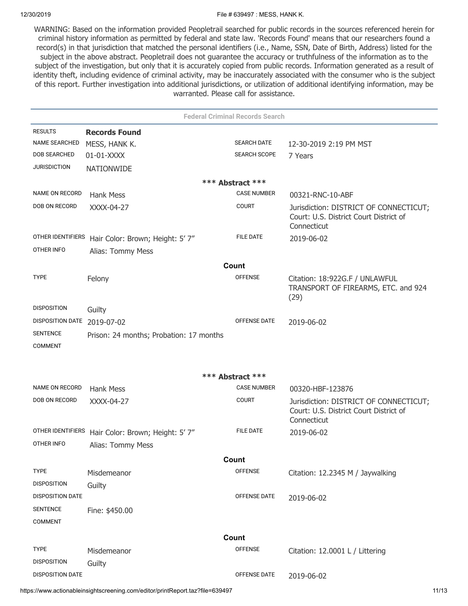#### 12/30/2019 File # 639497 : MESS, HANK K.

WARNING: Based on the information provided Peopletrail searched for public records in the sources referenced herein for criminal history information as permitted by federal and state law. 'Records Found' means that our researchers found a record(s) in that jurisdiction that matched the personal identifiers (i.e., Name, SSN, Date of Birth, Address) listed for the subject in the above abstract. Peopletrail does not guarantee the accuracy or truthfulness of the information as to the subject of the investigation, but only that it is accurately copied from public records. Information generated as a result of identity theft, including evidence of criminal activity, may be inaccurately associated with the consumer who is the subject of this report. Further investigation into additional jurisdictions, or utilization of additional identifying information, may be warranted. Please call for assistance.

|                         | <b>Federal Criminal Records Search</b>  |                     |                                                                                                 |  |  |
|-------------------------|-----------------------------------------|---------------------|-------------------------------------------------------------------------------------------------|--|--|
| <b>RESULTS</b>          | <b>Records Found</b>                    |                     |                                                                                                 |  |  |
| <b>NAME SEARCHED</b>    | MESS, HANK K.                           | <b>SEARCH DATE</b>  | 12-30-2019 2:19 PM MST                                                                          |  |  |
| <b>DOB SEARCHED</b>     | 01-01-XXXX                              | <b>SEARCH SCOPE</b> | 7 Years                                                                                         |  |  |
| <b>JURISDICTION</b>     | <b>NATIONWIDE</b>                       |                     |                                                                                                 |  |  |
|                         |                                         | *** Abstract ***    |                                                                                                 |  |  |
| NAME ON RECORD          | <b>Hank Mess</b>                        | <b>CASE NUMBER</b>  | 00321-RNC-10-ABF                                                                                |  |  |
| DOB ON RECORD           | XXXX-04-27                              | <b>COURT</b>        | Jurisdiction: DISTRICT OF CONNECTICUT;<br>Court: U.S. District Court District of<br>Connecticut |  |  |
| OTHER IDENTIFIERS       | Hair Color: Brown; Height: 5' 7"        | <b>FILE DATE</b>    | 2019-06-02                                                                                      |  |  |
| OTHER INFO              | Alias: Tommy Mess                       |                     |                                                                                                 |  |  |
|                         |                                         | Count               |                                                                                                 |  |  |
| <b>TYPE</b>             | Felony                                  | <b>OFFENSE</b>      | Citation: 18:922G.F / UNLAWFUL<br>TRANSPORT OF FIREARMS, ETC. and 924<br>(29)                   |  |  |
| <b>DISPOSITION</b>      | Guilty                                  |                     |                                                                                                 |  |  |
| DISPOSITION DATE        | 2019-07-02                              | <b>OFFENSE DATE</b> | 2019-06-02                                                                                      |  |  |
| <b>SENTENCE</b>         | Prison: 24 months; Probation: 17 months |                     |                                                                                                 |  |  |
| <b>COMMENT</b>          |                                         |                     |                                                                                                 |  |  |
|                         |                                         |                     |                                                                                                 |  |  |
|                         |                                         | *** Abstract ***    |                                                                                                 |  |  |
| NAME ON RECORD          | <b>Hank Mess</b>                        | <b>CASE NUMBER</b>  | 00320-HBF-123876                                                                                |  |  |
| DOB ON RECORD           | XXXX-04-27                              | <b>COURT</b>        | Jurisdiction: DISTRICT OF CONNECTICUT;<br>Court: U.S. District Court District of<br>Connecticut |  |  |
| OTHER IDENTIFIERS       | Hair Color: Brown; Height: 5' 7"        | <b>FILE DATE</b>    | 2019-06-02                                                                                      |  |  |
| OTHER INFO              | Alias: Tommy Mess                       |                     |                                                                                                 |  |  |
|                         |                                         | Count               |                                                                                                 |  |  |
| <b>TYPE</b>             | Misdemeanor                             | <b>OFFENSE</b>      | Citation: 12.2345 M / Jaywalking                                                                |  |  |
| <b>DISPOSITION</b>      | Guilty                                  |                     |                                                                                                 |  |  |
| <b>DISPOSITION DATE</b> |                                         | OFFENSE DATE        | 2019-06-02                                                                                      |  |  |
| <b>SENTENCE</b>         | Fine: \$450.00                          |                     |                                                                                                 |  |  |
| <b>COMMENT</b>          |                                         |                     |                                                                                                 |  |  |
|                         |                                         | Count               |                                                                                                 |  |  |
| <b>TYPE</b>             | Misdemeanor                             | <b>OFFENSE</b>      | Citation: 12.0001 L / Littering                                                                 |  |  |
| <b>DISPOSITION</b>      | Guilty                                  |                     |                                                                                                 |  |  |
| <b>DISPOSITION DATE</b> |                                         | OFFENSE DATE        | 2019-06-02                                                                                      |  |  |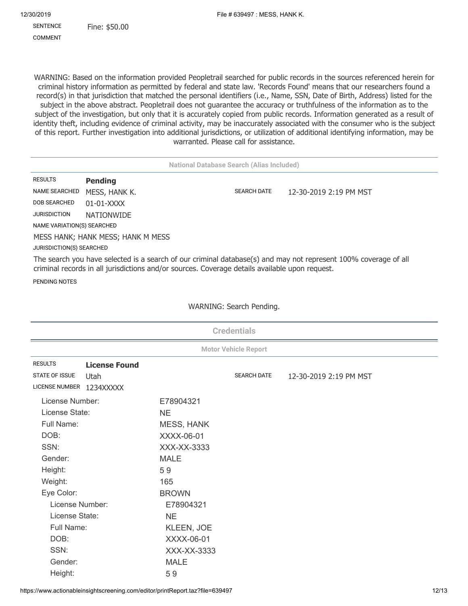SENTENCE Fine: \$50.00 COMMENT

WARNING: Based on the information provided Peopletrail searched for public records in the sources referenced herein for criminal history information as permitted by federal and state law. 'Records Found' means that our researchers found a record(s) in that jurisdiction that matched the personal identifiers (i.e., Name, SSN, Date of Birth, Address) listed for the subject in the above abstract. Peopletrail does not guarantee the accuracy or truthfulness of the information as to the subject of the investigation, but only that it is accurately copied from public records. Information generated as a result of identity theft, including evidence of criminal activity, may be inaccurately associated with the consumer who is the subject of this report. Further investigation into additional jurisdictions, or utilization of additional identifying information, may be warranted. Please call for assistance.

**National Database Search (Alias Included)**

RESULTS **Pending** NAME SEARCHED MESS, HANK K. SEARCH DATE 12-30-2019 2:19 PM MST DOB SEARCHED 01-01-XXXX JURISDICTION NATIONWIDE NAME VARIATION(S) SEARCHED MESS HANK; HANK MESS; HANK M MESS JURISDICTION(S) SEARCHED

The search you have selected is a search of our criminal database(s) and may not represent 100% coverage of all criminal records in all jurisdictions and/or sources. Coverage details available upon request.

PENDING NOTES

| <b>Credentials</b>    |                             |              |                    |                        |  |
|-----------------------|-----------------------------|--------------|--------------------|------------------------|--|
|                       | <b>Motor Vehicle Report</b> |              |                    |                        |  |
| <b>RESULTS</b>        | <b>License Found</b>        |              |                    |                        |  |
| <b>STATE OF ISSUE</b> | Utah                        |              | <b>SEARCH DATE</b> | 12-30-2019 2:19 PM MST |  |
| <b>LICENSE NUMBER</b> | 1234XXXXX                   |              |                    |                        |  |
| License Number:       |                             | E78904321    |                    |                        |  |
| License State:        |                             | <b>NE</b>    |                    |                        |  |
| Full Name:            |                             | MESS, HANK   |                    |                        |  |
| DOB:                  |                             | XXXX-06-01   |                    |                        |  |
| SSN:                  |                             | XXX-XX-3333  |                    |                        |  |
| Gender:               |                             | <b>MALE</b>  |                    |                        |  |
| Height:               |                             | 59           |                    |                        |  |
| Weight:               |                             | 165          |                    |                        |  |
| Eye Color:            |                             | <b>BROWN</b> |                    |                        |  |
| License Number:       |                             | E78904321    |                    |                        |  |
| License State:        |                             | <b>NE</b>    |                    |                        |  |
| Full Name:            |                             | KLEEN, JOE   |                    |                        |  |
| DOB:                  |                             | XXXX-06-01   |                    |                        |  |
| SSN:                  |                             | XXX-XX-3333  |                    |                        |  |
| Gender:               |                             | <b>MALE</b>  |                    |                        |  |
| Height:               |                             | 59           |                    |                        |  |

## WARNING: Search Pending.

https://www.actionableinsightscreening.com/editor/printReport.taz?file=639497 12/13